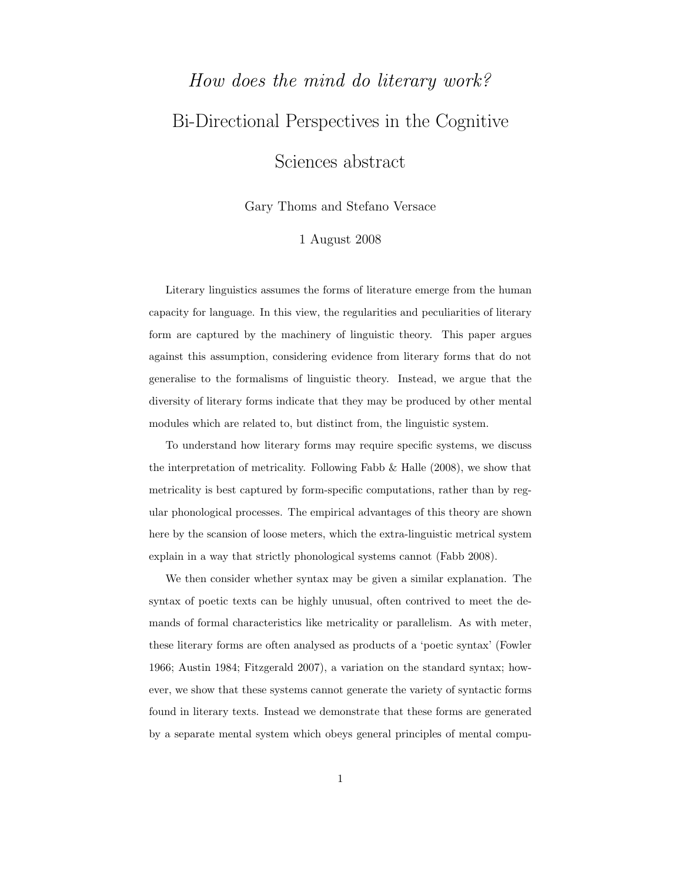## How does the mind do literary work? Bi-Directional Perspectives in the Cognitive Sciences abstract

Gary Thoms and Stefano Versace

## 1 August 2008

Literary linguistics assumes the forms of literature emerge from the human capacity for language. In this view, the regularities and peculiarities of literary form are captured by the machinery of linguistic theory. This paper argues against this assumption, considering evidence from literary forms that do not generalise to the formalisms of linguistic theory. Instead, we argue that the diversity of literary forms indicate that they may be produced by other mental modules which are related to, but distinct from, the linguistic system.

To understand how literary forms may require specific systems, we discuss the interpretation of metricality. Following Fabb  $\&$  Halle (2008), we show that metricality is best captured by form-specific computations, rather than by regular phonological processes. The empirical advantages of this theory are shown here by the scansion of loose meters, which the extra-linguistic metrical system explain in a way that strictly phonological systems cannot (Fabb 2008).

We then consider whether syntax may be given a similar explanation. The syntax of poetic texts can be highly unusual, often contrived to meet the demands of formal characteristics like metricality or parallelism. As with meter, these literary forms are often analysed as products of a 'poetic syntax' (Fowler 1966; Austin 1984; Fitzgerald 2007), a variation on the standard syntax; however, we show that these systems cannot generate the variety of syntactic forms found in literary texts. Instead we demonstrate that these forms are generated by a separate mental system which obeys general principles of mental compu